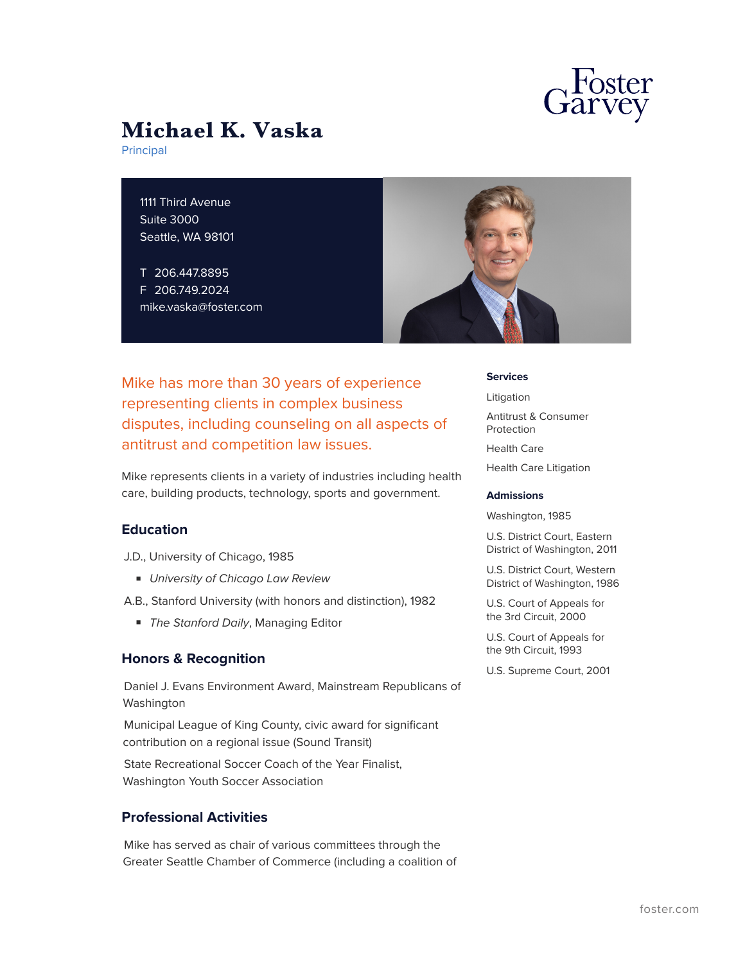

# **Michael K. Vaska**

Principal

1111 Third Avenue Suite 3000 Seattle, WA 98101

T 206.447.8895 F 206.749.2024 mike.vaska@foster.com



Mike has more than 30 years of experience representing clients in complex business disputes, including counseling on all aspects of antitrust and competition law issues.

Mike represents clients in a variety of industries including health care, building products, technology, sports and government.

#### **Education**

J.D., University of Chicago, 1985

■ *University of Chicago Law Review*

A.B., Stanford University (with honors and distinction), 1982

■ *The Stanford Daily*, Managing Editor

#### **Honors & Recognition**

Daniel J. Evans Environment Award, Mainstream Republicans of Washington

Municipal League of King County, civic award for significant contribution on a regional issue (Sound Transit)

State Recreational Soccer Coach of the Year Finalist, Washington Youth Soccer Association

### **Professional Activities**

Mike has served as chair of various committees through the Greater Seattle Chamber of Commerce (including a coalition of **Services**

Litigation

Antitrust & Consumer Protection Health Care Health Care Litigation

#### **Admissions**

Washington, 1985

U.S. District Court, Eastern District of Washington, 2011

U.S. District Court, Western District of Washington, 1986

U.S. Court of Appeals for the 3rd Circuit, 2000

U.S. Court of Appeals for the 9th Circuit, 1993

U.S. Supreme Court, 2001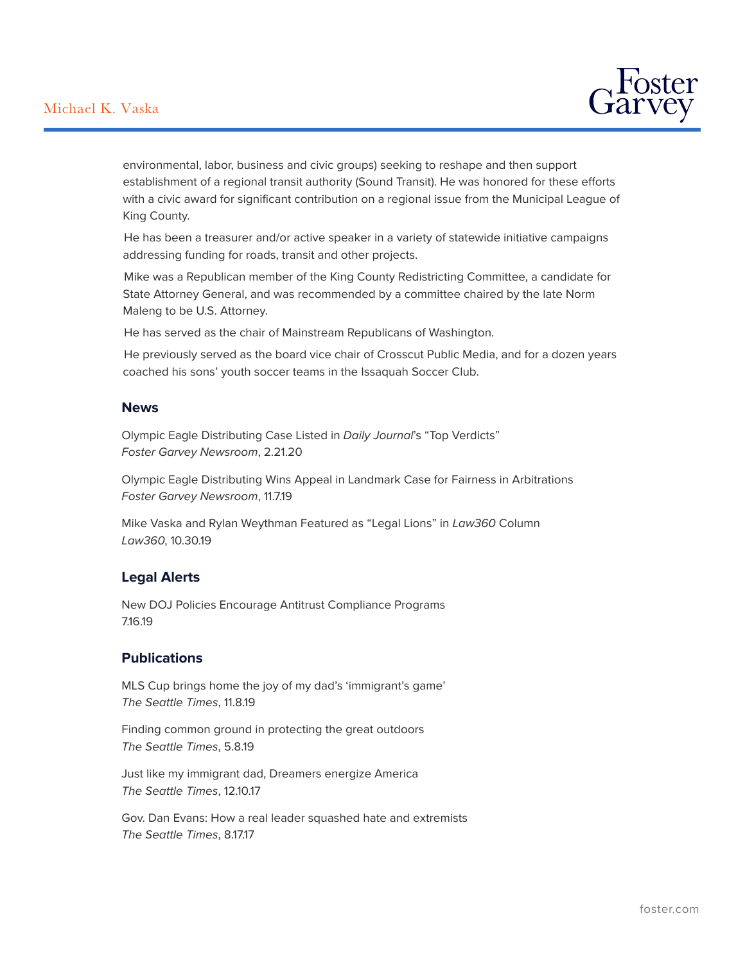## Michael K. Vaska



environmental, labor, business and civic groups) seeking to reshape and then support establishment of a regional transit authority (Sound Transit). He was honored for these efforts with a civic award for significant contribution on a regional issue from the Municipal League of King County.

He has been a treasurer and/or active speaker in a variety of statewide initiative campaigns addressing funding for roads, transit and other projects.

Mike was a Republican member of the King County Redistricting Committee, a candidate for State Attorney General, and was recommended by a committee chaired by the late Norm Maleng to be U.S. Attorney.

He has served as the chair of Mainstream Republicans of Washington.

He previously served as the board vice chair of Crosscut Public Media, and for a dozen years coached his sons' youth soccer teams in the Issaquah Soccer Club.

#### **News**

Olympic Eagle Distributing Case Listed in *Daily Journal*'s "Top Verdicts" *Foster Garvey Newsroom*, 2.21.20

Olympic Eagle Distributing Wins Appeal in Landmark Case for Fairness in Arbitrations *Foster Garvey Newsroom*, 11.7.19

Mike Vaska and Rylan Weythman Featured as "Legal Lions" in *Law360* Column *Law360*, 10.30.19

#### **Legal Alerts**

New DOJ Policies Encourage Antitrust Compliance Programs 7.16.19

#### **Publications**

MLS Cup brings home the joy of my dad's 'immigrant's game' *The Seattle Times*, 11.8.19

Finding common ground in protecting the great outdoors *The Seattle Times*, 5.8.19

Just like my immigrant dad, Dreamers energize America *The Seattle Times*, 12.10.17

Gov. Dan Evans: How a real leader squashed hate and extremists *The Seattle Times*, 8.17.17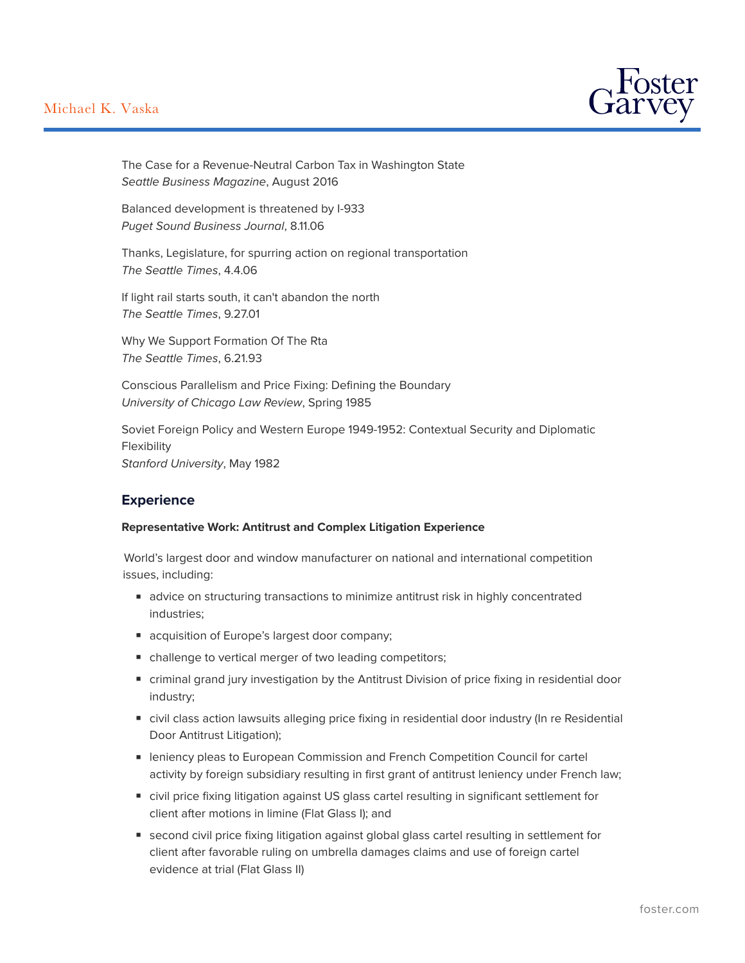## Michael K. Vaska



The Case for a Revenue-Neutral Carbon Tax in Washington State *Seattle Business Magazine*, August 2016

Balanced development is threatened by I-933 *Puget Sound Business Journal*, 8.11.06

Thanks, Legislature, for spurring action on regional transportation *The Seattle Times*, 4.4.06

If light rail starts south, it can't abandon the north *The Seattle Times*, 9.27.01

Why We Support Formation Of The Rta *The Seattle Times*, 6.21.93

Conscious Parallelism and Price Fixing: Defining the Boundary *University of Chicago Law Review*, Spring 1985

Soviet Foreign Policy and Western Europe 1949-1952: Contextual Security and Diplomatic Flexibility *Stanford University*, May 1982

### **Experience**

#### **Representative Work: Antitrust and Complex Litigation Experience**

World's largest door and window manufacturer on national and international competition issues, including:

- advice on structuring transactions to minimize antitrust risk in highly concentrated industries;
- acquisition of Europe's largest door company;
- challenge to vertical merger of two leading competitors;
- criminal grand jury investigation by the Antitrust Division of price fixing in residential door industry;
- civil class action lawsuits alleging price fixing in residential door industry (In re Residential Door Antitrust Litigation);
- leniency pleas to European Commission and French Competition Council for cartel activity by foreign subsidiary resulting in first grant of antitrust leniency under French law;
- civil price fixing litigation against US glass cartel resulting in significant settlement for client after motions in limine (Flat Glass I); and
- second civil price fixing litigation against global glass cartel resulting in settlement for client after favorable ruling on umbrella damages claims and use of foreign cartel evidence at trial (Flat Glass II)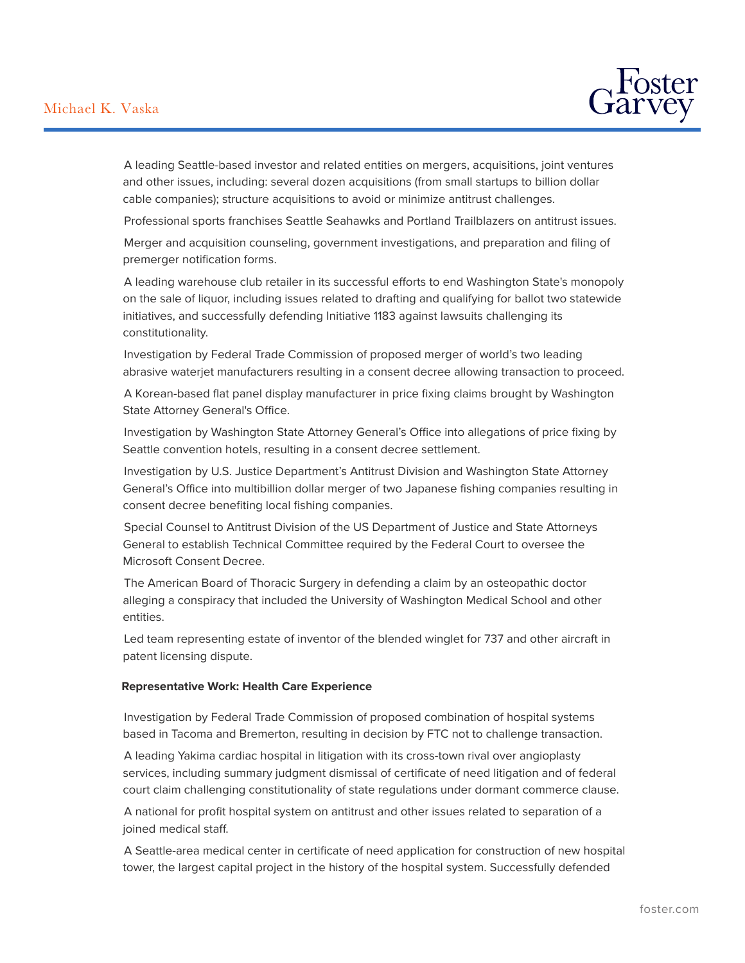

A leading Seattle-based investor and related entities on mergers, acquisitions, joint ventures and other issues, including: several dozen acquisitions (from small startups to billion dollar cable companies); structure acquisitions to avoid or minimize antitrust challenges.

Professional sports franchises Seattle Seahawks and Portland Trailblazers on antitrust issues.

Merger and acquisition counseling, government investigations, and preparation and filing of premerger notification forms.

A leading warehouse club retailer in its successful efforts to end Washington State's monopoly on the sale of liquor, including issues related to drafting and qualifying for ballot two statewide initiatives, and successfully defending Initiative 1183 against lawsuits challenging its constitutionality.

Investigation by Federal Trade Commission of proposed merger of world's two leading abrasive waterjet manufacturers resulting in a consent decree allowing transaction to proceed.

A Korean-based flat panel display manufacturer in price fixing claims brought by Washington State Attorney General's Office.

Investigation by Washington State Attorney General's Office into allegations of price fixing by Seattle convention hotels, resulting in a consent decree settlement.

Investigation by U.S. Justice Department's Antitrust Division and Washington State Attorney General's Office into multibillion dollar merger of two Japanese fishing companies resulting in consent decree benefiting local fishing companies.

Special Counsel to Antitrust Division of the US Department of Justice and State Attorneys General to establish Technical Committee required by the Federal Court to oversee the Microsoft Consent Decree.

The American Board of Thoracic Surgery in defending a claim by an osteopathic doctor alleging a conspiracy that included the University of Washington Medical School and other entities.

Led team representing estate of inventor of the blended winglet for 737 and other aircraft in patent licensing dispute.

#### **Representative Work: Health Care Experience**

Investigation by Federal Trade Commission of proposed combination of hospital systems based in Tacoma and Bremerton, resulting in decision by FTC not to challenge transaction.

A leading Yakima cardiac hospital in litigation with its cross-town rival over angioplasty services, including summary judgment dismissal of certificate of need litigation and of federal court claim challenging constitutionality of state regulations under dormant commerce clause.

A national for profit hospital system on antitrust and other issues related to separation of a joined medical staff.

A Seattle-area medical center in certificate of need application for construction of new hospital tower, the largest capital project in the history of the hospital system. Successfully defended